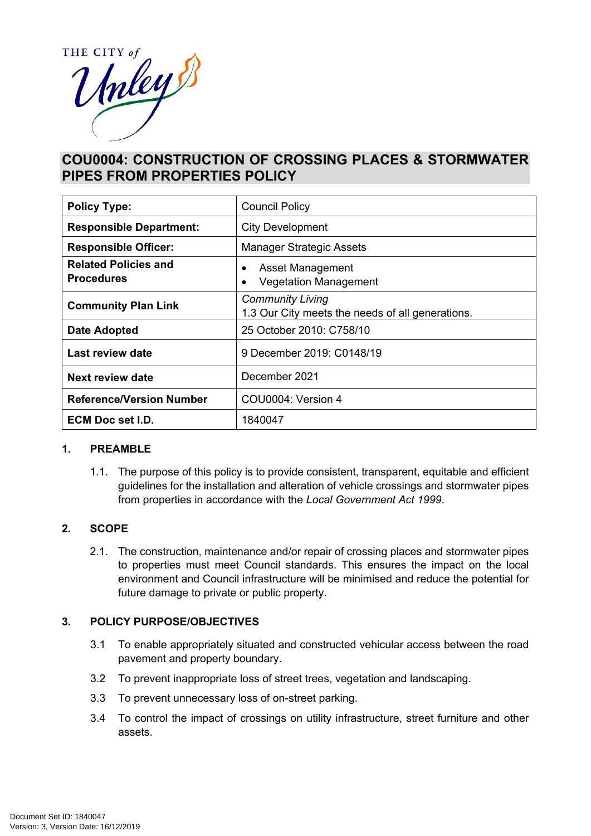

# **COU0004: CONSTRUCTION OF CROSSING PLACES & STORMWATER PIPES FROM PROPERTIES POLICY**

| <b>Policy Type:</b>                              | <b>Council Policy</b>                                                       |  |
|--------------------------------------------------|-----------------------------------------------------------------------------|--|
| <b>Responsible Department:</b>                   | City Development                                                            |  |
| <b>Responsible Officer:</b>                      | <b>Manager Strategic Assets</b>                                             |  |
| <b>Related Policies and</b><br><b>Procedures</b> | Asset Management<br><b>Vegetation Management</b>                            |  |
| <b>Community Plan Link</b>                       | <b>Community Living</b><br>1.3 Our City meets the needs of all generations. |  |
| <b>Date Adopted</b>                              | 25 October 2010: C758/10                                                    |  |
| Last review date                                 | 9 December 2019: C0148/19                                                   |  |
| Next review date                                 | December 2021                                                               |  |
| <b>Reference/Version Number</b>                  | COU0004: Version 4                                                          |  |
| <b>ECM Doc set I.D.</b>                          | 1840047                                                                     |  |

#### **1. PREAMBLE**

1.1. The purpose of this policy is to provide consistent, transparent, equitable and efficient guidelines for the installation and alteration of vehicle crossings and stormwater pipes from properties in accordance with the *Local Government Act 1999*.

#### **2. SCOPE**

2.1. The construction, maintenance and/or repair of crossing places and stormwater pipes to properties must meet Council standards. This ensures the impact on the local environment and Council infrastructure will be minimised and reduce the potential for future damage to private or public property.

#### **3. POLICY PURPOSE/OBJECTIVES**

- 3.1 To enable appropriately situated and constructed vehicular access between the road pavement and property boundary.
- 3.2 To prevent inappropriate loss of street trees, vegetation and landscaping.
- 3.3 To prevent unnecessary loss of on-street parking.
- 3.4 To control the impact of crossings on utility infrastructure, street furniture and other assets.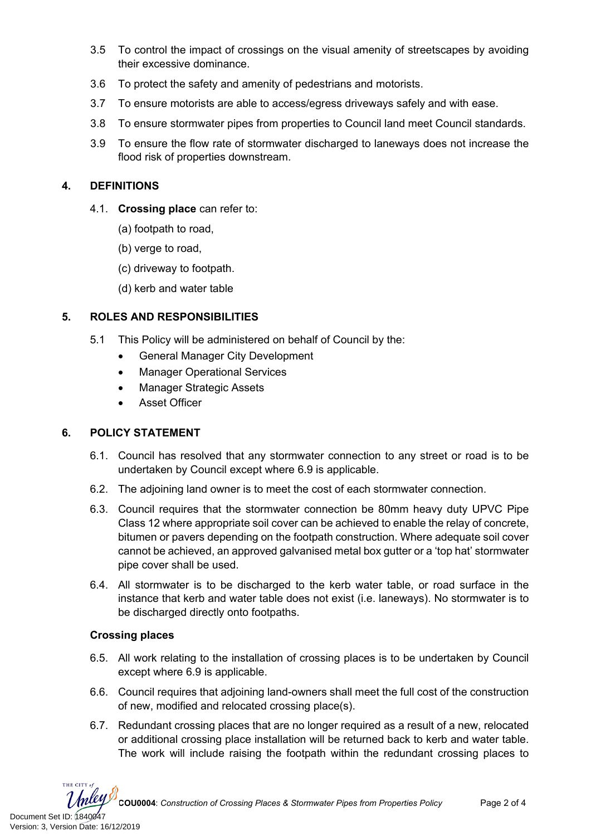- 3.5 To control the impact of crossings on the visual amenity of streetscapes by avoiding their excessive dominance.
- 3.6 To protect the safety and amenity of pedestrians and motorists.
- 3.7 To ensure motorists are able to access/egress driveways safely and with ease.
- 3.8 To ensure stormwater pipes from properties to Council land meet Council standards.
- 3.9 To ensure the flow rate of stormwater discharged to laneways does not increase the flood risk of properties downstream.

## **4. DEFINITIONS**

- 4.1. **Crossing place** can refer to:
	- (a) footpath to road,
	- (b) verge to road,
	- (c) driveway to footpath.
	- (d) kerb and water table

## **5. ROLES AND RESPONSIBILITIES**

- 5.1 This Policy will be administered on behalf of Council by the:
	- General Manager City Development
	- Manager Operational Services
	- Manager Strategic Assets
	- Asset Officer

#### **6. POLICY STATEMENT**

- 6.1. Council has resolved that any stormwater connection to any street or road is to be undertaken by Council except where 6.9 is applicable.
- 6.2. The adjoining land owner is to meet the cost of each stormwater connection.
- 6.3. Council requires that the stormwater connection be 80mm heavy duty UPVC Pipe Class 12 where appropriate soil cover can be achieved to enable the relay of concrete, bitumen or pavers depending on the footpath construction. Where adequate soil cover cannot be achieved, an approved galvanised metal box gutter or a 'top hat' stormwater pipe cover shall be used.
- 6.4. All stormwater is to be discharged to the kerb water table, or road surface in the instance that kerb and water table does not exist (i.e. laneways). No stormwater is to be discharged directly onto footpaths.

#### **Crossing places**

- 6.5. All work relating to the installation of crossing places is to be undertaken by Council except where 6.9 is applicable.
- 6.6. Council requires that adjoining land-owners shall meet the full cost of the construction of new, modified and relocated crossing place(s).
- 6.7. Redundant crossing places that are no longer required as a result of a new, relocated or additional crossing place installation will be returned back to kerb and water table. The work will include raising the footpath within the redundant crossing places to

THE CITY of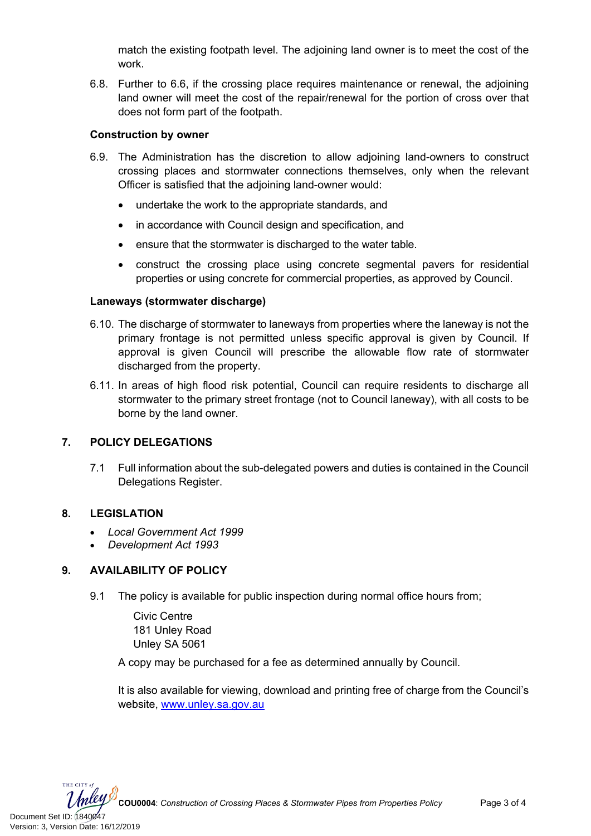match the existing footpath level. The adjoining land owner is to meet the cost of the work.

6.8. Further to 6.6, if the crossing place requires maintenance or renewal, the adjoining land owner will meet the cost of the repair/renewal for the portion of cross over that does not form part of the footpath.

#### **Construction by owner**

- 6.9. The Administration has the discretion to allow adjoining land-owners to construct crossing places and stormwater connections themselves, only when the relevant Officer is satisfied that the adjoining land-owner would:
	- undertake the work to the appropriate standards, and
	- in accordance with Council design and specification, and
	- ensure that the stormwater is discharged to the water table.
	- construct the crossing place using concrete segmental pavers for residential properties or using concrete for commercial properties, as approved by Council.

#### **Laneways (stormwater discharge)**

- 6.10. The discharge of stormwater to laneways from properties where the laneway is not the primary frontage is not permitted unless specific approval is given by Council. If approval is given Council will prescribe the allowable flow rate of stormwater discharged from the property.
- 6.11. In areas of high flood risk potential, Council can require residents to discharge all stormwater to the primary street frontage (not to Council laneway), with all costs to be borne by the land owner.

# **7. POLICY DELEGATIONS**

7.1 Full information about the sub-delegated powers and duties is contained in the Council Delegations Register.

#### **8. LEGISLATION**

- *Local Government Act 1999*
- *Development Act 1993*

# **9. AVAILABILITY OF POLICY**

9.1 The policy is available for public inspection during normal office hours from;

Civic Centre 181 Unley Road Unley SA 5061

A copy may be purchased for a fee as determined annually by Council.

It is also available for viewing, download and printing free of charge from the Council's website, [www.unley.sa.gov.au](http://www.unley.sa.gov.au/)